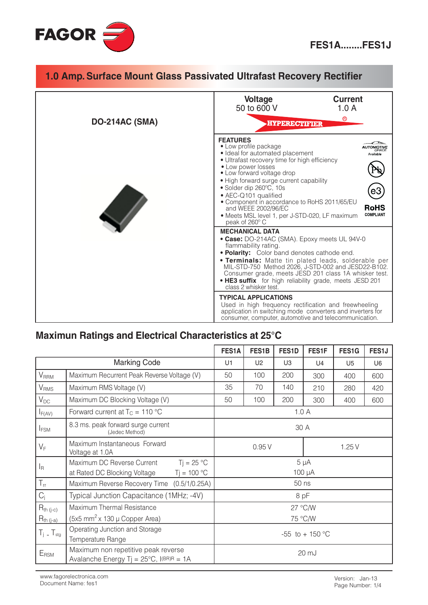

#### 1.0 Amp. Surface Mount Glass Passivated Ultrafast Recovery Rectifier **Current Voltage** 50 to 600 V  $1.0A$  $^{\circ}$ DO-214AC (SMA) **HYPERECTIFIER FEATURES AUTOMOTIVE** • Low profile package · Ideal for automated placement Available • Ultrafast recovery time for high efficiency • Low power losses • Low forward voltage drop • High forward surge current capability · Solder dip 260°C, 10s • AEC-Q101 qualified • Component in accordance to RoHS 2011/65/EU and WEEE 2002/96/EC **RoHS** · Meets MSL level 1, per J-STD-020, LF maximum **COMPLIANT** peak of 260°C **MECHANICAL DATA** • Case: DO-214AC (SMA). Epoxy meets UL 94V-0 flammability rating. • Polarity: Color band denotes cathode end. . Terminals: Matte tin plated leads, solderable per MIL-STD-750 Method 2026, J-STD-002 and JESD22-B102.<br>Consumer grade, meets JESD 201 class 1A whisker test. . HE3 suffix for high reliability grade, meets JESD 201 class 2 whisker test. **TYPICAL APPLICATIONS** Used in high frequency rectification and freewheeling application in switching mode converters and inverters for consumer, computer, automotive and telecommunication.

### Maximun Ratings and Electrical Characteristics at 25°C

|                          |                                                                                             | FES1A                    | FES1B          | FES1D          | FES1F | FES1G          | FES1J          |
|--------------------------|---------------------------------------------------------------------------------------------|--------------------------|----------------|----------------|-------|----------------|----------------|
| <b>Marking Code</b>      |                                                                                             | U1                       | U <sub>2</sub> | U <sub>3</sub> | U4    | U <sub>5</sub> | U <sub>6</sub> |
| <b>V</b> <sub>RRM</sub>  | Maximum Recurrent Peak Reverse Voltage (V)                                                  | 50                       | 100            | 200            | 300   | 400            | 600            |
| <b>V</b> <sub>RMS</sub>  | Maximum RMS Voltage (V)                                                                     | 35                       | 70             | 140            | 210   | 280            | 420            |
| $V_{DC}$                 | Maximum DC Blocking Voltage (V)                                                             | 50                       | 100            | 200            | 300   | 400            | 600            |
| $I_{F(AV)}$              | Forward current at $T_C = 110 °C$                                                           | 1.0A                     |                |                |       |                |                |
| I <sub>FSM</sub>         | 8.3 ms. peak forward surge current<br>(Jedec Method)                                        | 30 A                     |                |                |       |                |                |
| $V_F$                    | Maximum Instantaneous Forward<br>Voltage at 1.0A                                            | 0.95V                    |                |                | 1.25V |                |                |
| $I_{\mathsf{R}}$         | $Tj = 25 °C$<br>Maximum DC Reverse Current<br>$Tj = 100 °C$<br>at Rated DC Blocking Voltage | $5 \mu A$<br>$100 \mu A$ |                |                |       |                |                |
| $T_{rr}$                 | Maximum Reverse Recovery Time (0.5/1/0.25A)                                                 | 50 ns                    |                |                |       |                |                |
| $C_j$                    | Typical Junction Capacitance (1MHz; -4V)                                                    | 8 pF                     |                |                |       |                |                |
| $R_{th (j-c)}$           | Maximum Thermal Resistance                                                                  | 27 °C/W                  |                |                |       |                |                |
| $R_{th (j-a)}$           | $(5x5$ mm <sup>2</sup> x 130 µ Copper Area)                                                 | 75 °C/W                  |                |                |       |                |                |
| $T_i$ _ $T_{\text{stg}}$ | Operating Junction and Storage<br>Temperature Range                                         | $-55$ to $+150$ °C       |                |                |       |                |                |
| ERSM                     | Maximum non repetitive peak reverse<br>Avalanche Energy Tj = $25^{\circ}$ C, I(BR)R = 1A    | 20 mJ                    |                |                |       |                |                |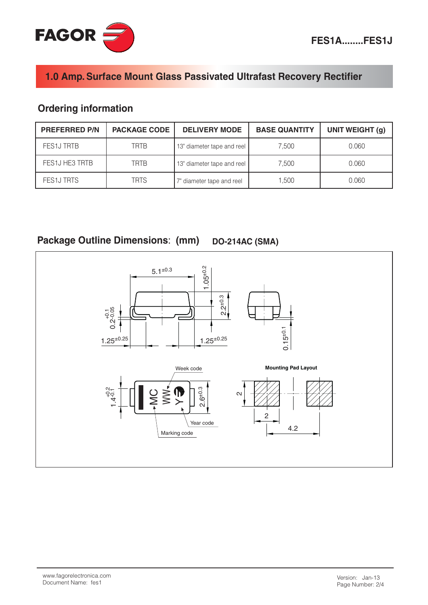# 1.0 Amp. Surface Mount Glass Passivated Ultrafast Recovery Rectifier

## **Ordering information**

| <b>PREFERRED P/N</b> | <b>PACKAGE CODE</b> | <b>DELIVERY MODE</b>       | <b>BASE QUANTITY</b> | UNIT WEIGHT (g) |
|----------------------|---------------------|----------------------------|----------------------|-----------------|
| FES1J TRTB           | <b>TRTB</b>         | 13" diameter tape and reel | 7.500                | 0.060           |
| FES1J HE3 TRTB       | <b>TRTB</b>         | 13" diameter tape and reel | 7.500                | 0.060           |
| <b>FES1J TRTS</b>    | <b>TRTS</b>         | 7" diameter tape and reel  | 1.500                | 0.060           |

Package Outline Dimensions: (mm) **DO-214AC (SMA)** 

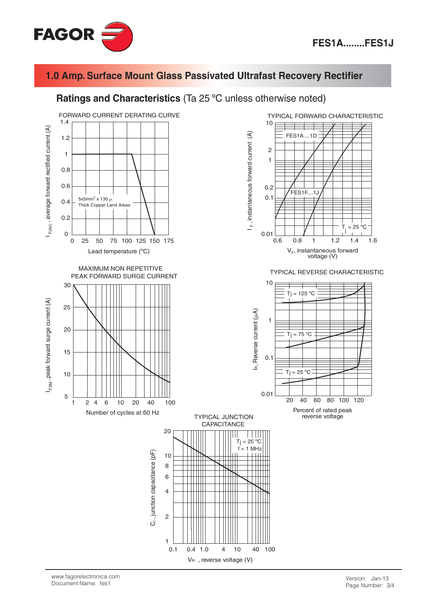

#### 1.0 Amp. Surface Mount Glass Passivated Ultrafast Recovery Rectifier

#### Ratings and Characteristics (Ta 25 °C unless otherwise noted)